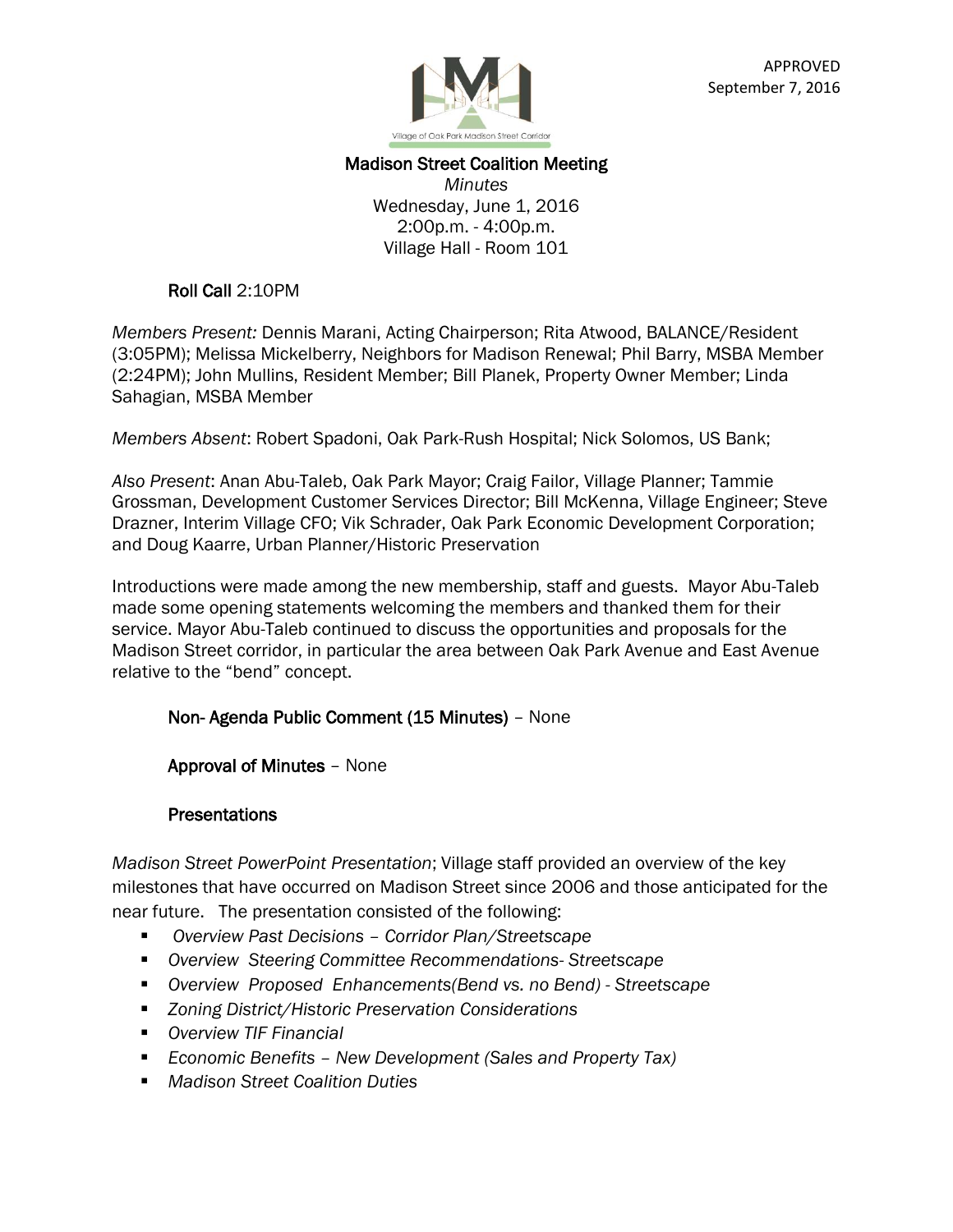

### Madison Street Coalition Meeting

*Minutes* Wednesday, June 1, 2016 2:00p.m. - 4:00p.m. Village Hall - Room 101

#### Roll Call 2:10PM

*Members Present:* Dennis Marani, Acting Chairperson; Rita Atwood, BALANCE/Resident (3:05PM); Melissa Mickelberry, Neighbors for Madison Renewal; Phil Barry, MSBA Member (2:24PM); John Mullins, Resident Member; Bill Planek, Property Owner Member; Linda Sahagian, MSBA Member

*Members Absent*: Robert Spadoni, Oak Park-Rush Hospital; Nick Solomos, US Bank;

*Also Present*: Anan Abu-Taleb, Oak Park Mayor; Craig Failor, Village Planner; Tammie Grossman, Development Customer Services Director; Bill McKenna, Village Engineer; Steve Drazner, Interim Village CFO; Vik Schrader, Oak Park Economic Development Corporation; and Doug Kaarre, Urban Planner/Historic Preservation

Introductions were made among the new membership, staff and guests. Mayor Abu-Taleb made some opening statements welcoming the members and thanked them for their service. Mayor Abu-Taleb continued to discuss the opportunities and proposals for the Madison Street corridor, in particular the area between Oak Park Avenue and East Avenue relative to the "bend" concept.

#### Non- Agenda Public Comment (15 Minutes) – None

Approval of Minutes – None

#### Presentations

*Madison Street PowerPoint Presentation*; Village staff provided an overview of the key milestones that have occurred on Madison Street since 2006 and those anticipated for the near future. The presentation consisted of the following:

- *Overview Past Decisions – Corridor Plan/Streetscape*
- *Overview Steering Committee Recommendations- Streetscape*
- *Overview Proposed Enhancements(Bend vs. no Bend) - Streetscape*
- *Zoning District/Historic Preservation Considerations*
- *Overview TIF Financial*
- *Economic Benefits – New Development (Sales and Property Tax)*
- *Madison Street Coalition Duties*